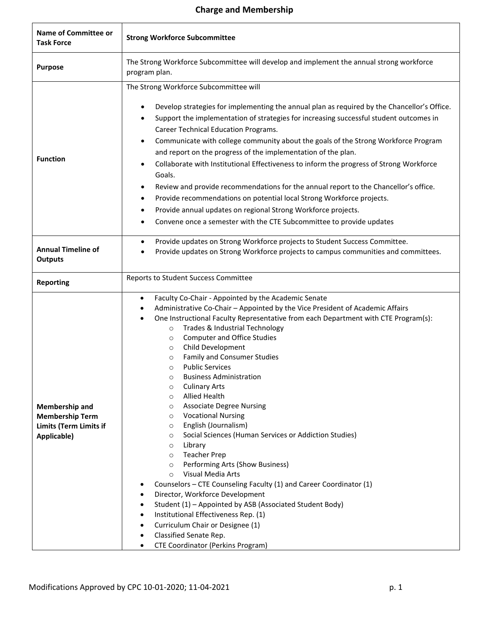## **Charge and Membership**

| <b>Name of Committee or</b><br><b>Task Force</b>                                                | <b>Strong Workforce Subcommittee</b>                                                                                                                                                                                                                                                                                                                                                                                                                                                                                                                                                                                                                                                                                                                                                                                                                                                                                                                                                                                                                                                                                                                                                                                                                                         |
|-------------------------------------------------------------------------------------------------|------------------------------------------------------------------------------------------------------------------------------------------------------------------------------------------------------------------------------------------------------------------------------------------------------------------------------------------------------------------------------------------------------------------------------------------------------------------------------------------------------------------------------------------------------------------------------------------------------------------------------------------------------------------------------------------------------------------------------------------------------------------------------------------------------------------------------------------------------------------------------------------------------------------------------------------------------------------------------------------------------------------------------------------------------------------------------------------------------------------------------------------------------------------------------------------------------------------------------------------------------------------------------|
| <b>Purpose</b>                                                                                  | The Strong Workforce Subcommittee will develop and implement the annual strong workforce<br>program plan.                                                                                                                                                                                                                                                                                                                                                                                                                                                                                                                                                                                                                                                                                                                                                                                                                                                                                                                                                                                                                                                                                                                                                                    |
| <b>Function</b>                                                                                 | The Strong Workforce Subcommittee will<br>Develop strategies for implementing the annual plan as required by the Chancellor's Office.<br>Support the implementation of strategies for increasing successful student outcomes in<br>$\bullet$<br><b>Career Technical Education Programs.</b><br>Communicate with college community about the goals of the Strong Workforce Program<br>$\bullet$<br>and report on the progress of the implementation of the plan.<br>Collaborate with Institutional Effectiveness to inform the progress of Strong Workforce<br>Goals.<br>Review and provide recommendations for the annual report to the Chancellor's office.<br>٠<br>Provide recommendations on potential local Strong Workforce projects.<br>٠<br>Provide annual updates on regional Strong Workforce projects.<br>Convene once a semester with the CTE Subcommittee to provide updates                                                                                                                                                                                                                                                                                                                                                                                     |
| <b>Annual Timeline of</b><br><b>Outputs</b>                                                     | Provide updates on Strong Workforce projects to Student Success Committee.<br>$\bullet$<br>Provide updates on Strong Workforce projects to campus communities and committees.                                                                                                                                                                                                                                                                                                                                                                                                                                                                                                                                                                                                                                                                                                                                                                                                                                                                                                                                                                                                                                                                                                |
| <b>Reporting</b>                                                                                | Reports to Student Success Committee                                                                                                                                                                                                                                                                                                                                                                                                                                                                                                                                                                                                                                                                                                                                                                                                                                                                                                                                                                                                                                                                                                                                                                                                                                         |
| <b>Membership and</b><br><b>Membership Term</b><br><b>Limits (Term Limits if</b><br>Applicable) | Faculty Co-Chair - Appointed by the Academic Senate<br>٠<br>Administrative Co-Chair - Appointed by the Vice President of Academic Affairs<br>One Instructional Faculty Representative from each Department with CTE Program(s):<br>Trades & Industrial Technology<br>$\circ$<br><b>Computer and Office Studies</b><br>$\circ$<br>Child Development<br>$\circ$<br>Family and Consumer Studies<br>$\circ$<br><b>Public Services</b><br>$\circ$<br><b>Business Administration</b><br>$\circ$<br><b>Culinary Arts</b><br>$\circ$<br><b>Allied Health</b><br>$\circ$<br><b>Associate Degree Nursing</b><br>$\circ$<br><b>Vocational Nursing</b><br>$\circ$<br>English (Journalism)<br>$\circ$<br>Social Sciences (Human Services or Addiction Studies)<br>$\circ$<br>Library<br>$\circ$<br><b>Teacher Prep</b><br>$\circ$<br>Performing Arts (Show Business)<br>$\circ$<br>Visual Media Arts<br>$\circ$<br>Counselors - CTE Counseling Faculty (1) and Career Coordinator (1)<br>٠<br>Director, Workforce Development<br>٠<br>Student (1) - Appointed by ASB (Associated Student Body)<br>٠<br>Institutional Effectiveness Rep. (1)<br>٠<br>Curriculum Chair or Designee (1)<br>٠<br>Classified Senate Rep.<br>$\bullet$<br><b>CTE Coordinator (Perkins Program)</b><br>$\bullet$ |